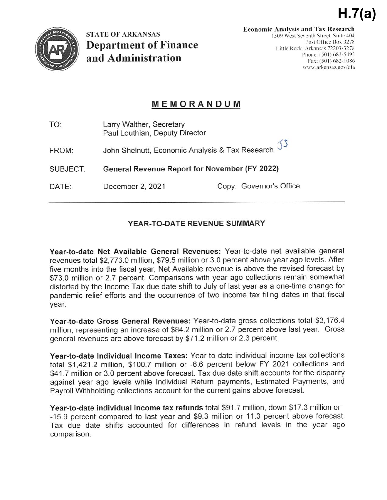

**STATE OF ARKANSAS Department of Finance** and Administration

 $H.7(a)$ 

# MEMORANDUM

| TO:      | Larry Walther, Secretary<br>Paul Louthian, Deputy Director                  |                         |
|----------|-----------------------------------------------------------------------------|-------------------------|
| FROM:    | John Shelnutt, Economic Analysis & Tax Research $\mathcal{I}^{\mathcal{S}}$ |                         |
| SUBJECT: | General Revenue Report for November (FY 2022)                               |                         |
| DATE:    | December 2, 2021                                                            | Copy: Governor's Office |

# YEAR-TO-DATE REVENUE SUMMARY

Year-to-date Net Available General Revenues: Year-to-date net available general revenues total \$2,773.0 million, \$79.5 million or 3.0 percent above year ago levels. After five months into the fiscal year, Net Available revenue is above the revised forecast by \$73.0 million or 2.7 percent. Comparisons with year ago collections remain somewhat distorted by the Income Tax due date shift to July of last year as a one-time change for pandemic relief efforts and the occurrence of two income tax filing dates in that fiscal year.

Year-to-date Gross General Revenues: Year-to-date gross collections total \$3,176.4 million, representing an increase of \$84.2 million or 2.7 percent above last year. Gross general revenues are above forecast by \$71.2 million or 2.3 percent.

Year-to-date Individual Income Taxes: Year-to-date individual income tax collections total \$1,421.2 million, \$100.7 million or -6.6 percent below FY 2021 collections and \$41.7 million or 3.0 percent above forecast. Tax due date shift accounts for the disparity against year ago levels while Individual Return payments, Estimated Payments, and Payroll Withholding collections account for the current gains above forecast.

Year-to-date individual income tax refunds total \$91.7 million, down \$17.3 million or -15.9 percent compared to last year and \$9.3 million or 11.3 percent above forecast. Tax due date shifts accounted for differences in refund levels in the year ago comparison.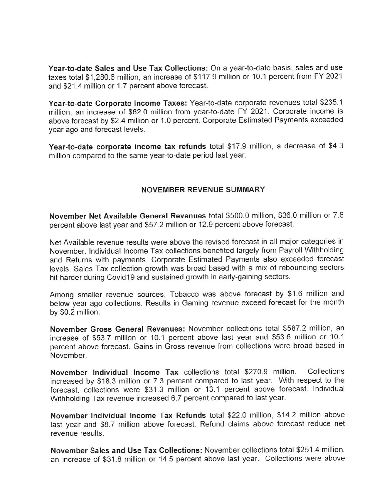Year-to-date Sales and Use Tax Collections: On a year-to-date basis, sales and use taxes total \$1,280.6 million, an increase of \$117.9 million or 10.1 percent from FY 2021 and \$21.4 million or 1.7 percent above forecast.

Year-to-date Corporate Income Taxes: Year-to-date corporate revenues total \$235.1 million, an increase of \$62.0 million from year-to-date FY 2021. Corporate income is above forecast by \$2.4 million or 1.0 percent. Corporate Estimated Payments exceeded year ago and forecast levels.

Year-to-date corporate income tax refunds total \$17.9 million, a decrease of \$4.3 million compared to the same year-to-date period last year.

#### **NOVEMBER REVENUE SUMMARY**

November Net Available General Revenues total \$500.0 million, \$36.0 million or 7.8 percent above last year and \$57.2 million or 12.9 percent above forecast.

Net Available revenue results were above the revised forecast in all major categories in November. Individual Income Tax collections benefited largely from Payroll Withholding and Returns with payments. Corporate Estimated Payments also exceeded forecast levels. Sales Tax collection growth was broad based with a mix of rebounding sectors hit harder during Covid19 and sustained growth in early-gaining sectors.

Among smaller revenue sources, Tobacco was above forecast by \$1.6 million and below year ago collections. Results in Gaming revenue exceed forecast for the month by \$0.2 million.

November Gross General Revenues: November collections total \$587.2 million, an increase of \$53.7 million or 10.1 percent above last year and \$53.6 million or 10.1 percent above forecast. Gains in Gross revenue from collections were broad-based in November.

November Individual Income Tax collections total \$270.9 million. Collections increased by \$18.3 million or 7.3 percent compared to last year. With respect to the forecast, collections were \$31.3 million or 13.1 percent above forecast. Individual Withholding Tax revenue increased 6.7 percent compared to last year.

November Individual Income Tax Refunds total \$22.0 million, \$14.2 million above last year and \$8.7 million above forecast. Refund claims above forecast reduce net revenue results.

November Sales and Use Tax Collections: November collections total \$251.4 million, an increase of \$31.8 million or 14.5 percent above last year. Collections were above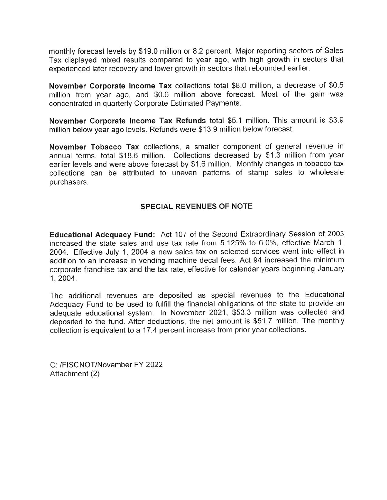monthly forecast levels by \$19.0 million or 8.2 percent. Major reporting sectors of Sales Tax displayed mixed results compared to year ago, with high growth in sectors that experienced later recovery and lower growth in sectors that rebounded earlier.

November Corporate Income Tax collections total \$8.0 million, a decrease of \$0.5 million from year ago, and \$0.6 million above forecast. Most of the gain was concentrated in quarterly Corporate Estimated Payments.

November Corporate Income Tax Refunds total \$5.1 million. This amount is \$3.9 million below year ago levels. Refunds were \$13.9 million below forecast.

November Tobacco Tax collections, a smaller component of general revenue in annual terms, total \$18.6 million. Collections decreased by \$1.3 million from year earlier levels and were above forecast by \$1.6 million. Monthly changes in tobacco tax collections can be attributed to uneven patterns of stamp sales to wholesale purchasers.

#### SPECIAL REVENUES OF NOTE

Educational Adequacy Fund: Act 107 of the Second Extraordinary Session of 2003 increased the state sales and use tax rate from 5.125% to 6.0%, effective March 1, 2004. Effective July 1, 2004 a new sales tax on selected services went into effect in addition to an increase in vending machine decal fees. Act 94 increased the minimum corporate franchise tax and the tax rate, effective for calendar years beginning January 1, 2004.

The additional revenues are deposited as special revenues to the Educational Adequacy Fund to be used to fulfill the financial obligations of the state to provide an adequate educational system. In November 2021, \$53.3 million was collected and deposited to the fund. After deductions, the net amount is \$51.7 million. The monthly collection is equivalent to a 17.4 percent increase from prior year collections.

C: /FISCNOT/November FY 2022 Attachment (2)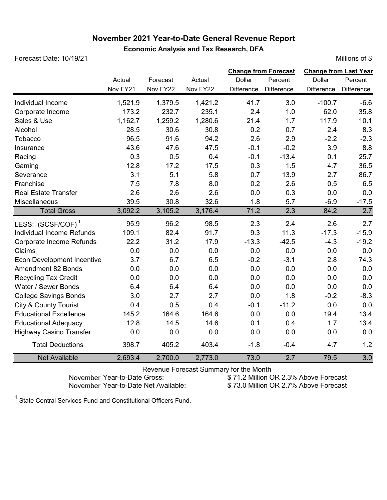## **November 2021 Year-to-Date General Revenue Report Economic Analysis and Tax Research, DFA**

Forecast Date: 10/19/21 **Millions of \$ Millions of \$** 

|                                   | Actual<br>Nov FY21 | Forecast<br>Nov FY22 | Actual<br>Nov FY22 | Dollar<br>Difference | <b>Change from Forecast</b><br>Percent<br>Difference | <b>Change from Last Year</b><br>Dollar<br>Difference | Percent<br>Difference |
|-----------------------------------|--------------------|----------------------|--------------------|----------------------|------------------------------------------------------|------------------------------------------------------|-----------------------|
| Individual Income                 | 1,521.9            | 1,379.5              | 1,421.2            | 41.7                 | 3.0                                                  | $-100.7$                                             | $-6.6$                |
| Corporate Income                  | 173.2              | 232.7                | 235.1              | 2.4                  | 1.0                                                  | 62.0                                                 | 35.8                  |
| Sales & Use                       | 1,162.7            | 1,259.2              | 1,280.6            | 21.4                 | 1.7                                                  | 117.9                                                | 10.1                  |
| Alcohol                           | 28.5               | 30.6                 | 30.8               | 0.2                  | 0.7                                                  | 2.4                                                  | 8.3                   |
| Tobacco                           | 96.5               | 91.6                 | 94.2               | 2.6                  | 2.9                                                  | $-2.2$                                               | $-2.3$                |
| Insurance                         | 43.6               | 47.6                 | 47.5               | $-0.1$               | $-0.2$                                               | 3.9                                                  | 8.8                   |
| Racing                            | 0.3                | 0.5                  | 0.4                | $-0.1$               | $-13.4$                                              | 0.1                                                  | 25.7                  |
| Gaming                            | 12.8               | 17.2                 | 17.5               | 0.3                  | 1.5                                                  | 4.7                                                  | 36.5                  |
| Severance                         | 3.1                | 5.1                  | 5.8                | 0.7                  | 13.9                                                 | 2.7                                                  | 86.7                  |
| Franchise                         | 7.5                | 7.8                  | 8.0                | 0.2                  | 2.6                                                  | 0.5                                                  | 6.5                   |
| <b>Real Estate Transfer</b>       | 2.6                | 2.6                  | 2.6                | 0.0                  | 0.3                                                  | 0.0                                                  | 0.0                   |
| Miscellaneous                     | 39.5               | 30.8                 | 32.6               | 1.8                  | 5.7                                                  | $-6.9$                                               | $-17.5$               |
| <b>Total Gross</b>                | 3,092.2            | 3,105.2              | 3,176.4            | 71.2                 | 2.3                                                  | 84.2                                                 | 2.7                   |
| LESS: (SCSF/COF) <sup>1</sup>     | 95.9               | 96.2                 | 98.5               | 2.3                  | 2.4                                                  | 2.6                                                  | 2.7                   |
| Individual Income Refunds         | 109.1              | 82.4                 | 91.7               | 9.3                  | 11.3                                                 | $-17.3$                                              | $-15.9$               |
| Corporate Income Refunds          | 22.2               | 31.2                 | 17.9               | $-13.3$              | $-42.5$                                              | $-4.3$                                               | $-19.2$               |
| Claims                            | 0.0                | 0.0                  | 0.0                | 0.0                  | 0.0                                                  | 0.0                                                  | 0.0                   |
| <b>Econ Development Incentive</b> | 3.7                | 6.7                  | 6.5                | $-0.2$               | $-3.1$                                               | 2.8                                                  | 74.3                  |
| Amendment 82 Bonds                | 0.0                | 0.0                  | 0.0                | 0.0                  | 0.0                                                  | 0.0                                                  | 0.0                   |
| <b>Recycling Tax Credit</b>       | 0.0                | 0.0                  | 0.0                | 0.0                  | 0.0                                                  | 0.0                                                  | 0.0                   |
| Water / Sewer Bonds               | 6.4                | 6.4                  | 6.4                | 0.0                  | 0.0                                                  | 0.0                                                  | 0.0                   |
| <b>College Savings Bonds</b>      | 3.0                | 2.7                  | 2.7                | 0.0                  | 1.8                                                  | $-0.2$                                               | $-8.3$                |
| <b>City &amp; County Tourist</b>  | 0.4                | 0.5                  | 0.4                | $-0.1$               | $-11.2$                                              | 0.0                                                  | 0.0                   |
| <b>Educational Excellence</b>     | 145.2              | 164.6                | 164.6              | 0.0                  | 0.0                                                  | 19.4                                                 | 13.4                  |
| <b>Educational Adequacy</b>       | 12.8               | 14.5                 | 14.6               | 0.1                  | 0.4                                                  | 1.7                                                  | 13.4                  |
| <b>Highway Casino Transfer</b>    | 0.0                | 0.0                  | 0.0                | 0.0                  | 0.0                                                  | 0.0                                                  | 0.0                   |
| <b>Total Deductions</b>           | 398.7              | 405.2                | 403.4              | $-1.8$               | $-0.4$                                               | 4.7                                                  | 1.2                   |
| <b>Net Available</b>              | 2,693.4            | 2,700.0              | 2,773.0            | 73.0                 | 2.7                                                  | 79.5                                                 | 3.0                   |

Revenue Forecast Summary for the Month<br>November Year-to-Date Gross: \$71.2 Million C

November Year-to-Date Gross:<br>November Year-to-Date Net Available: \$ 73.0 Million OR 2.7% Above Forecast

\$73.0 Million OR 2.7% Above Forecast

 $^{\text{1}}$  State Central Services Fund and Constitutional Officers Fund.